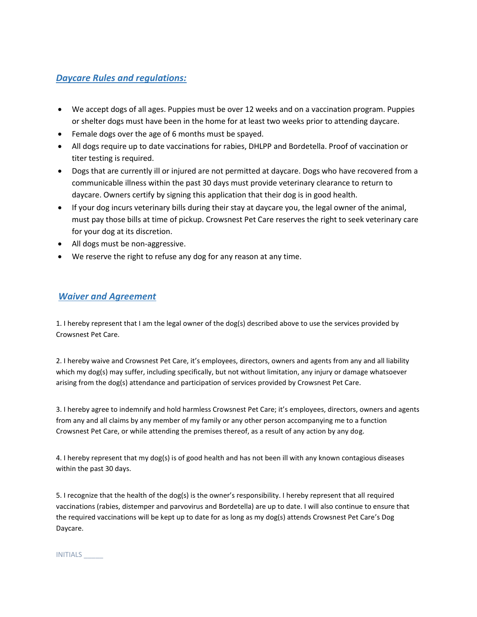## *Daycare Rules and regulations:*

- We accept dogs of all ages. Puppies must be over 12 weeks and on a vaccination program. Puppies or shelter dogs must have been in the home for at least two weeks prior to attending daycare.
- Female dogs over the age of 6 months must be spayed.
- All dogs require up to date vaccinations for rabies, DHLPP and Bordetella. Proof of vaccination or titer testing is required.
- Dogs that are currently ill or injured are not permitted at daycare. Dogs who have recovered from a communicable illness within the past 30 days must provide veterinary clearance to return to daycare. Owners certify by signing this application that their dog is in good health.
- If your dog incurs veterinary bills during their stay at daycare you, the legal owner of the animal, must pay those bills at time of pickup. Crowsnest Pet Care reserves the right to seek veterinary care for your dog at its discretion.
- All dogs must be non-aggressive.
- We reserve the right to refuse any dog for any reason at any time.

## *Waiver and Agreement*

1. I hereby represent that I am the legal owner of the dog(s) described above to use the services provided by Crowsnest Pet Care.

2. I hereby waive and Crowsnest Pet Care, it's employees, directors, owners and agents from any and all liability which my dog(s) may suffer, including specifically, but not without limitation, any injury or damage whatsoever arising from the dog(s) attendance and participation of services provided by Crowsnest Pet Care.

3. I hereby agree to indemnify and hold harmless Crowsnest Pet Care; it's employees, directors, owners and agents from any and all claims by any member of my family or any other person accompanying me to a function Crowsnest Pet Care, or while attending the premises thereof, as a result of any action by any dog.

4. I hereby represent that my dog(s) is of good health and has not been ill with any known contagious diseases within the past 30 days.

5. I recognize that the health of the dog(s) is the owner's responsibility. I hereby represent that all required vaccinations (rabies, distemper and parvovirus and Bordetella) are up to date. I will also continue to ensure that the required vaccinations will be kept up to date for as long as my dog(s) attends Crowsnest Pet Care's Dog Daycare.

INITIALS \_\_\_\_\_